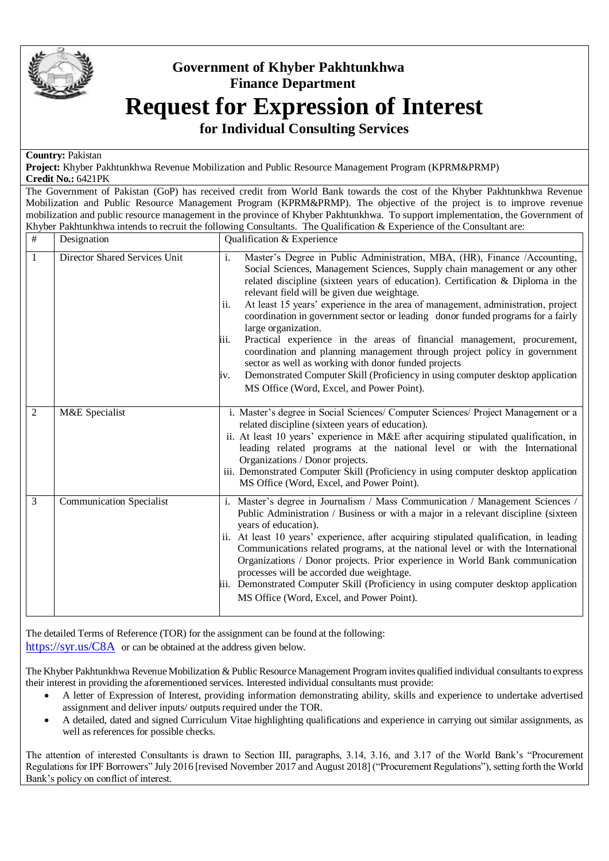

## **Government of Khyber Pakhtunkhwa Finance Department Request for Expression of Interest**

**for Individual Consulting Services**

## **Country:** Pakistan

**Project:** Khyber Pakhtunkhwa Revenue Mobilization and Public Resource Management Program (KPRM&PRMP) **Credit No.:** 6421PK

The Government of Pakistan (GoP) has received credit from World Bank towards the cost of the Khyber Pakhtunkhwa Revenue Mobilization and Public Resource Management Program (KPRM&PRMP). The objective of the project is to improve revenue mobilization and public resource management in the province of Khyber Pakhtunkhwa. To support implementation, the Government of Khyber Pakhtunkhwa intends to recruit the following Consultants. The Qualification & Experience of the Consultant are:

| $\#$           | Designation                     | Qualification & Experience                                                                                                                                                                                                                                                                                                                                                                                                                                                                                                                                                                                                                                                                                                                                                                                                                                                     |
|----------------|---------------------------------|--------------------------------------------------------------------------------------------------------------------------------------------------------------------------------------------------------------------------------------------------------------------------------------------------------------------------------------------------------------------------------------------------------------------------------------------------------------------------------------------------------------------------------------------------------------------------------------------------------------------------------------------------------------------------------------------------------------------------------------------------------------------------------------------------------------------------------------------------------------------------------|
| 1              | Director Shared Services Unit   | Master's Degree in Public Administration, MBA, (HR), Finance /Accounting,<br>$\mathbf{i}$ .<br>Social Sciences, Management Sciences, Supply chain management or any other<br>related discipline (sixteen years of education). Certification & Diploma in the<br>relevant field will be given due weightage.<br>At least 15 years' experience in the area of management, administration, project<br>ii.<br>coordination in government sector or leading donor funded programs for a fairly<br>large organization.<br>Practical experience in the areas of financial management, procurement,<br>iii.<br>coordination and planning management through project policy in government<br>sector as well as working with donor funded projects<br>Demonstrated Computer Skill (Proficiency in using computer desktop application<br>iv.<br>MS Office (Word, Excel, and Power Point). |
| $\overline{2}$ | M&E Specialist                  | i. Master's degree in Social Sciences/ Computer Sciences/ Project Management or a<br>related discipline (sixteen years of education).<br>ii. At least 10 years' experience in M&E after acquiring stipulated qualification, in<br>leading related programs at the national level or with the International<br>Organizations / Donor projects.<br>iii. Demonstrated Computer Skill (Proficiency in using computer desktop application<br>MS Office (Word, Excel, and Power Point).                                                                                                                                                                                                                                                                                                                                                                                              |
| 3              | <b>Communication Specialist</b> | i. Master's degree in Journalism / Mass Communication / Management Sciences /<br>Public Administration / Business or with a major in a relevant discipline (sixteen<br>years of education).<br>ii. At least 10 years' experience, after acquiring stipulated qualification, in leading<br>Communications related programs, at the national level or with the International<br>Organizations / Donor projects. Prior experience in World Bank communication<br>processes will be accorded due weightage.<br>iii. Demonstrated Computer Skill (Proficiency in using computer desktop application<br>MS Office (Word, Excel, and Power Point).                                                                                                                                                                                                                                    |

The detailed Terms of Reference (TOR) for the assignment can be found at the following: <https://syr.us/C8A> or can be obtained at the address given below*.*

The Khyber Pakhtunkhwa Revenue Mobilization & Public Resource Management Program invites qualified individual consultants to express their interest in providing the aforementioned services. Interested individual consultants must provide:

- A letter of Expression of Interest, providing information demonstrating ability, skills and experience to undertake advertised assignment and deliver inputs/ outputs required under the TOR.
- A detailed, dated and signed Curriculum Vitae highlighting qualifications and experience in carrying out similar assignments, as well as references for possible checks.

The attention of interested Consultants is drawn to Section III, paragraphs, 3.14, 3.16, and 3.17 of the World Bank's "Procurement Regulations for IPF Borrowers" July 2016 [revised November 2017 and August 2018] ("Procurement Regulations"), setting forth the World Bank's policy on conflict of interest.